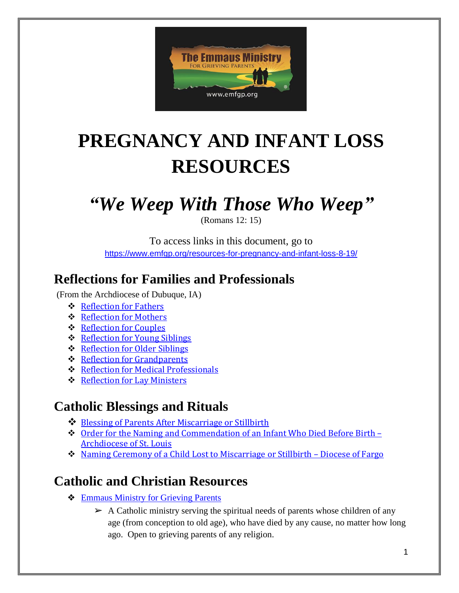

# **PREGNANCY AND INFANT LOSS RESOURCES**

# *"We Weep With Those Who Weep"*

(Romans 12: 15)

To access links in this document, go to <https://www.emfgp.org/resources-for-pregnancy-and-infant-loss-8-19/>

## **Reflections for Families and Professionals**

(From the Archdiocese of Dubuque, IA)

- ❖ [Reflection](https://www.dbqarch.org/wp-content/uploads/2018/09/Reflections-for-Fathers.docx) for Fathers
- ❖ [Reflection](https://www.dbqarch.org/wp-content/uploads/2018/09/Reflections-for-Mothers.docx) for Mothers
- ❖ [Reflection](https://www.dbqarch.org/wp-content/uploads/2018/09/Reflection-for-Couple.docx) for Couples
- ❖ [Reflection](https://www.dbqarch.org/wp-content/uploads/2018/09/Reflection-for-Young-Siblings.docx) for Young Siblings
- ❖ [Reflection](https://www.dbqarch.org/wp-content/uploads/2018/09/Reflection-for-Older-Siblings.docx) for Older Siblings
- ❖ Reflection for [Grandparents](https://www.dbqarch.org/wp-content/uploads/2018/09/Reflection-for-Grandparents.docx)
- ❖ Reflection for Medical [Professionals](https://www.dbqarch.org/wp-content/uploads/2018/09/Reflection-for-Medical-Professionals.docx)
- ❖ [Reflection](https://www.dbqarch.org/wp-content/uploads/2018/09/Reflection-for-Lay-Ministers.docx) for Lay Ministers

# **Catholic Blessings and Rituals**

- ❖ Blessing of Parents After [Miscarriage](http://www.usccb.org/prayer-and-worship/bereavement-and-funerals/blessing-of-parents-after-a-miscarriage-or-stillbirth.cfm) or Stillbirth
- ❖ Order for the Naming and [Commendation](https://www.dbqarch.org/wp-content/uploads/2018/08/Naming-and-Commendation-of-an-Infant-FINAL.pdf) of an Infant Who Died Before Birth [Archdiocese](https://www.dbqarch.org/wp-content/uploads/2018/08/Naming-and-Commendation-of-an-Infant-FINAL.pdf) of St. Louis
- ❖ Naming Ceremony of a Child Lost to [Miscarriage](https://www.dbqarch.org/wp-content/uploads/2017/04/Naming-Ceremony-fargo-diocese.pdf) or Stillbirth Diocese of Fargo

# **Catholic and Christian Resources**

- ❖ [Emmaus Ministry for Grieving Parents](http://www.emfgp.org/)
	- $\triangleright$  A Catholic ministry serving the spiritual needs of parents whose children of any age (from conception to old age), who have died by any cause, no matter how long ago. Open to grieving parents of any religion.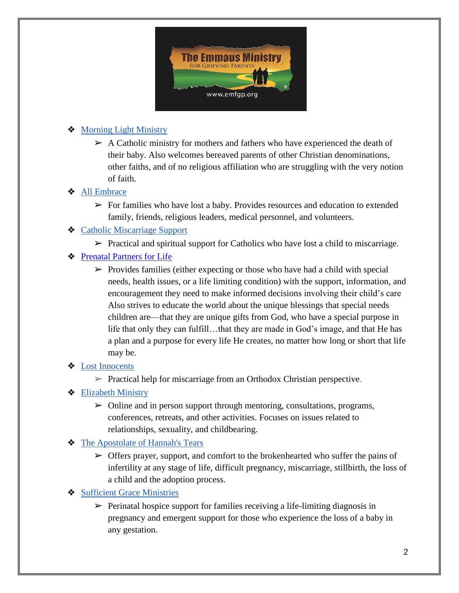

#### **❖** [Morning Light Ministry](http://morninglightministry.org/)

 $\triangleright$  A Catholic ministry for mothers and fathers who have experienced the death of their baby. Also welcomes bereaved parents of other Christian denominations, other faiths, and of no religious affiliation who are struggling with the very notion of faith.

#### ❖ [All Embrace](https://www.allembrace.com/)

 $\triangleright$  For families who have lost a baby. Provides resources and education to extended family, friends, religious leaders, medical personnel, and volunteers.

#### ❖ [Catholic Miscarriage Support](http://www.catholicmiscarriagesupport.com/)

- $\triangleright$  Practical and spiritual support for Catholics who have lost a child to miscarriage.
- ❖ [Prenatal Partners for Life](http://prenatalpartnersforlife.org/)
	- $\triangleright$  Provides families (either expecting or those who have had a child with special needs, health issues, or a life limiting condition) with the support, information, and encouragement they need to make informed decisions involving their child's care Also strives to educate the world about the unique blessings that special needs children are—that they are unique gifts from God, who have a special purpose in life that only they can fulfill…that they are made in God's image, and that He has a plan and a purpose for every life He creates, no matter how long or short that life may be.

#### ❖ [Lost Innocents](https://lostinnocentsblog.wordpress.com/)

- $\triangleright$  Practical help for miscarriage from an Orthodox Christian perspective.
- ❖ [Elizabeth Ministry](https://www.elizabethministry.org/)
	- $\triangleright$  Online and in person support through mentoring, consultations, programs, conferences, retreats, and other activities. Focuses on issues related to relationships, sexuality, and childbearing.
- ❖ [The Apostolate of Hannah's Tears](https://hannahstears.org/) 
	- $\triangleright$  Offers prayer, support, and comfort to the brokenhearted who suffer the pains of infertility at any stage of life, difficult pregnancy, miscarriage, stillbirth, the loss of a child and the adoption process.
- ❖ [Sufficient Grace Ministries](http://sufficientgraceministries.org/support-sufficient-grace/)
	- $\triangleright$  Perinatal hospice support for families receiving a life-limiting diagnosis in pregnancy and emergent support for those who experience the loss of a baby in any gestation.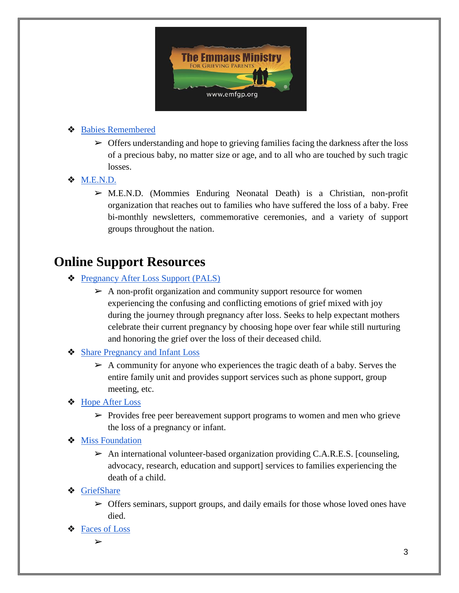

#### ❖ [Babies Remembered](http://wintergreenpress.org/)

- $\triangleright$  Offers understanding and hope to grieving families facing the darkness after the loss of a precious baby, no matter size or age, and to all who are touched by such tragic losses.
- $\bullet$  [M.E.N.D.](https://www.mend.org/)
	- ➢ M.E.N.D. (Mommies Enduring Neonatal Death) is a Christian, non-profit organization that reaches out to families who have suffered the loss of a baby. Free bi-monthly newsletters, commemorative ceremonies, and a variety of support groups throughout the nation.

## **Online Support Resources**

- ❖ [Pregnancy After Loss Support](https://pregnancyafterlosssupport.com/) (PALS)
	- $\triangleright$  A non-profit organization and community support resource for women experiencing the confusing and conflicting emotions of grief mixed with joy during the journey through pregnancy after loss. Seeks to help expectant mothers celebrate their current pregnancy by choosing hope over fear while still nurturing and honoring the grief over the loss of their deceased child.
- **❖** [Share Pregnancy and Infant Loss](http://nationalshare.org/)
	- $\triangleright$  A community for anyone who experiences the tragic death of a baby. Serves the entire family unit and provides support services such as phone support, group meeting, etc.
- ❖ [Hope After Loss](http://www.hopeafterloss.org/)
	- $\triangleright$  Provides free peer bereavement support programs to women and men who grieve the loss of a pregnancy or infant.
- ❖ [Miss Foundation](https://missfoundation.org/)
	- $\triangleright$  An international volunteer-based organization providing C.A.R.E.S. [counseling, advocacy, research, education and support] services to families experiencing the death of a child.
- ❖ [GriefShare](https://www.griefshare.org/)
	- $\triangleright$  Offers seminars, support groups, and daily emails for those whose loved ones have died.
- ❖ [Faces of Loss](http://facesofloss.com/about/about-faces)
	- ➢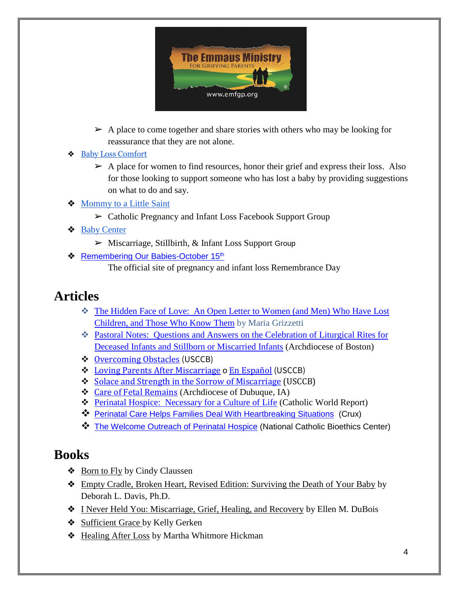

- $\triangleright$  A place to come together and share stories with others who may be looking for reassurance that they are not alone.
- ❖ [Baby Loss Comfort](http://babylosscomfort.com/)
	- $\triangleright$  A place for women to find resources, honor their grief and express their loss. Also for those looking to support someone who has lost a baby by providing suggestions on what to do and say.
- ❖ [Mommy to a Little Saint](https://www.facebook.com/groups/378453748952136/)
	- ➢ Catholic Pregnancy and Infant Loss Facebook Support Group
- ❖ [Baby Center](https://community.babycenter.com/post/a23240459/quotes_and_bible_verses) 
	- $\triangleright$  Miscarriage, Stillbirth, & Infant Loss Support Group
- **❖ [Remembering Our Babies-October 15](http://www.october15th.com/)th** 
	- The official site of pregnancy and infant loss Remembrance Day

### **Articles**

- ❖ [The Hidden Face of Love: An Open Letter](https://incarnationandmodernity.wordpress.com/2013/10/02/the-hidden-face-of-love-an-open-letter-to-women-and-men-who-have-lost-children-and-those-who-know-them/) to Women (and Men) Who Have Lost [Children, and Those Who Know Them](https://incarnationandmodernity.wordpress.com/2013/10/02/the-hidden-face-of-love-an-open-letter-to-women-and-men-who-have-lost-children-and-those-who-know-them/) by Maria Grizzetti
- ❖ [Pastoral Notes: Questions and Answers on the Celebration of Liturgical Rites for](https://www.bostoncatholic.org/Offices-And-Services/Office-Detail.aspx?id=12540&pid=464)  [Deceased Infants and Stillborn or Miscarried Infants](https://www.bostoncatholic.org/Offices-And-Services/Office-Detail.aspx?id=12540&pid=464) (Archdiocese of Boston)
- ❖ [Overcoming](http://www.foryourmarriage.org/everymarriage/overcoming-obstacles/miscarriage/) Obstacles (USCCB)
- ❖ Loving Parents After [Miscarriage](http://www.foryourmarriage.org/loving-parents-after-miscarriage/) o En [Español](http://www.usccb.org/about/pro-life-activities/life-issues-forum/foro-asuntos-de-vida-padres-devotos-luego-de-un-aborto-espontaneo.cfm) (USCCB)
- ❖ Solace and Strength in the Sorrow of [Miscarriage](http://www.foryourmarriage.org/solace-and-strength-in-the-sorrow-of-miscarriage/) (USCCB)
- ❖ Care of Fetal [Remains](https://www.dbqarch.org/wp-content/uploads/2019/03/care-of-fetal-remains.docx) (Archdiocese of Dubuque, IA)
- ❖ [Perinatal Hospice: Necessary for a Culture of Life](https://www.catholicworldreport.com/2012/08/23/perinatal-hospice-necessary-for-a-culture-of-life/) (Catholic World Report)
- ❖ [Perinatal Care Helps Families Deal With Heartbreaking Situations](https://cruxnow.com/interviews/2019/06/15/perinatal-care-helps-families-deal-with-heartbreaking-situations/) (Crux)
- ❖ [The Welcome Outreach of Perinatal Hospice](https://www.ncbcenter.org/files/4915/5173/3051/MSOB163_The_Welcome_Outreach_of_Perinatal_Hospice.pdf) (National Catholic Bioethics Center)

### **Books**

- **❖** Born to Fly by Cindy Claussen
- ❖ Empty Cradle, Broken Heart, Revised Edition: Surviving the Death of Your Baby by Deborah L. Davis, Ph.D.
- ❖ I Never Held You: Miscarriage, Grief, Healing, and Recovery by Ellen M. DuBois
- ❖ Sufficient Grace by Kelly Gerken
- ❖ Healing After Loss by Martha Whitmore Hickman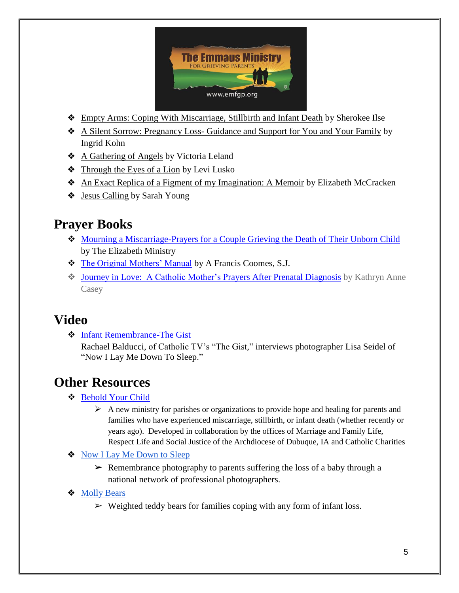

- ❖ Empty Arms: Coping With Miscarriage, Stillbirth and Infant Death by Sherokee Ilse
- ❖ A Silent Sorrow: Pregnancy Loss- Guidance and Support for You and Your Family by Ingrid Kohn
- ❖ A Gathering of Angels by Victoria Leland
- ❖ Through the Eyes of a Lion by Levi Lusko
- ❖ An Exact Replica of a Figment of my Imagination: A Memoir by Elizabeth McCracken
- ❖ Jesus Calling by Sarah Young

## **Prayer Books**

- ❖ [Mourning a Miscarriage-Prayers for a Couple Grieving the Death of Their Unborn Child](http://shopelizabethministry.mybigcommerce.com/mourning-a-miscarriage/) by The Elizabeth Ministry
- ❖ [The Original Mothers' Manual](https://www.amazon.com/Original-Mothers-Manual-Francis-Coomes/dp/B003AKBV2S) by A Francis Coomes, S.J.
- ❖ [Journey in Love: A Catholic Mother's Prayers After Prenatal Diagnosis](https://www.osvcatholicbookstore.com/product/journey-in-love-a-catholic-mother-s-prayers-after-prenatal-diagnosis) by Kathryn Anne Casey

## **Video**

❖ [Infant Remembrance-The Gist](https://www.bostoncatholic.org/MassofRemembrance/)

Rachael Balducci, of Catholic TV's "The Gist," interviews photographer Lisa Seidel of "Now I Lay Me Down To Sleep."

## **Other Resources**

- ❖ [Behold Your Child](https://www.dbqarch.org/offices/respect-life/beholdyourchild/)
	- $\triangleright$  A new ministry for parishes or organizations to provide hope and healing for parents and families who have experienced miscarriage, stillbirth, or infant death (whether recently or years ago). Developed in collaboration by the offices of Marriage and Family Life, Respect Life and Social Justice of the Archdiocese of Dubuque, IA and Catholic Charities
- ❖ [Now I Lay Me Down to Sleep](https://www.nowilaymedowntosleep.org/)
	- $\triangleright$  Remembrance photography to parents suffering the loss of a baby through a national network of professional photographers.
- ❖ [Molly Bears](https://www.mollybears.org/)
	- $\triangleright$  Weighted teddy bears for families coping with any form of infant loss.